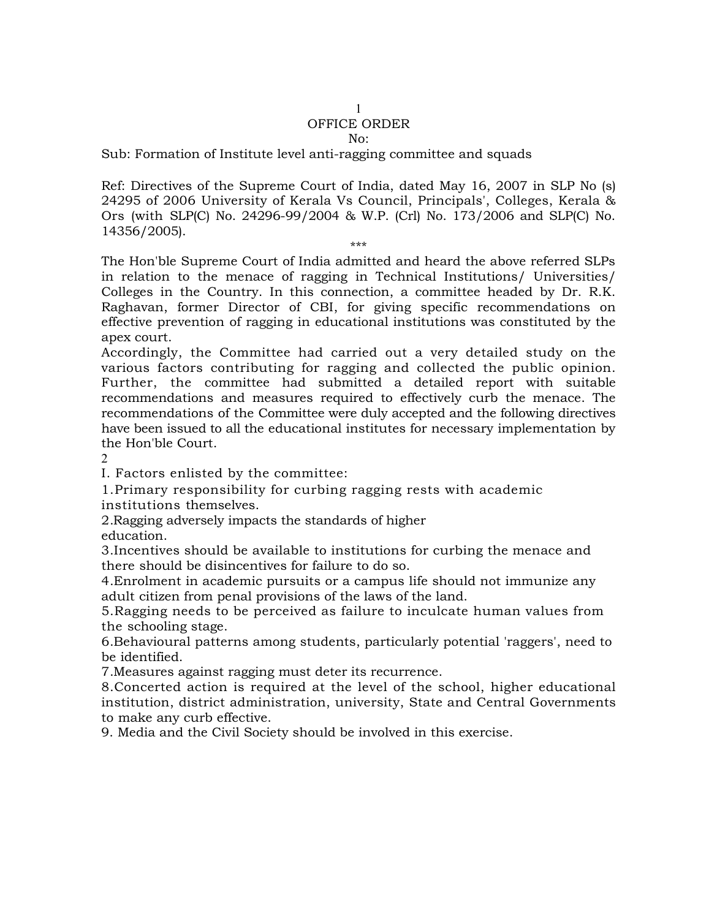## 1 OFFICE ORDER

## $N_0$ :

Sub: Formation of Institute level anti-ragging committee and squads

Ref: Directives of the Supreme Court of India, dated May 16, 2007 in SLP No (s) 24295 of 2006 University of Kerala Vs Council, Principals', Colleges, Kerala & Ors (with SLP(C) No. 24296-99/2004 & W.P. (Crl) No. 173/2006 and SLP(C) No. 14356/2005).

\*\*\*

The Hon'ble Supreme Court of India admitted and heard the above referred SLPs in relation to the menace of ragging in Technical Institutions/ Universities/ Colleges in the Country. In this connection, a committee headed by Dr. R.K. Raghavan, former Director of CBI, for giving specific recommendations on effective prevention of ragging in educational institutions was constituted by the apex court.

Accordingly, the Committee had carried out a very detailed study on the various factors contributing for ragging and collected the public opinion. Further, the committee had submitted a detailed report with suitable recommendations and measures required to effectively curb the menace. The recommendations of the Committee were duly accepted and the following directives have been issued to all the educational institutes for necessary implementation by the Hon'ble Court.

2

I. Factors enlisted by the committee:

1.Primary responsibility for curbing ragging rests with academic institutions themselves.

2.Ragging adversely impacts the standards of higher education.

3.Incentives should be available to institutions for curbing the menace and there should be disincentives for failure to do so.

4.Enrolment in academic pursuits or a campus life should not immunize any adult citizen from penal provisions of the laws of the land.

5.Ragging needs to be perceived as failure to inculcate human values from the schooling stage.

6.Behavioural patterns among students, particularly potential 'raggers', need to be identified.

7.Measures against ragging must deter its recurrence.

8.Concerted action is required at the level of the school, higher educational institution, district administration, university, State and Central Governments to make any curb effective.

9. Media and the Civil Society should be involved in this exercise.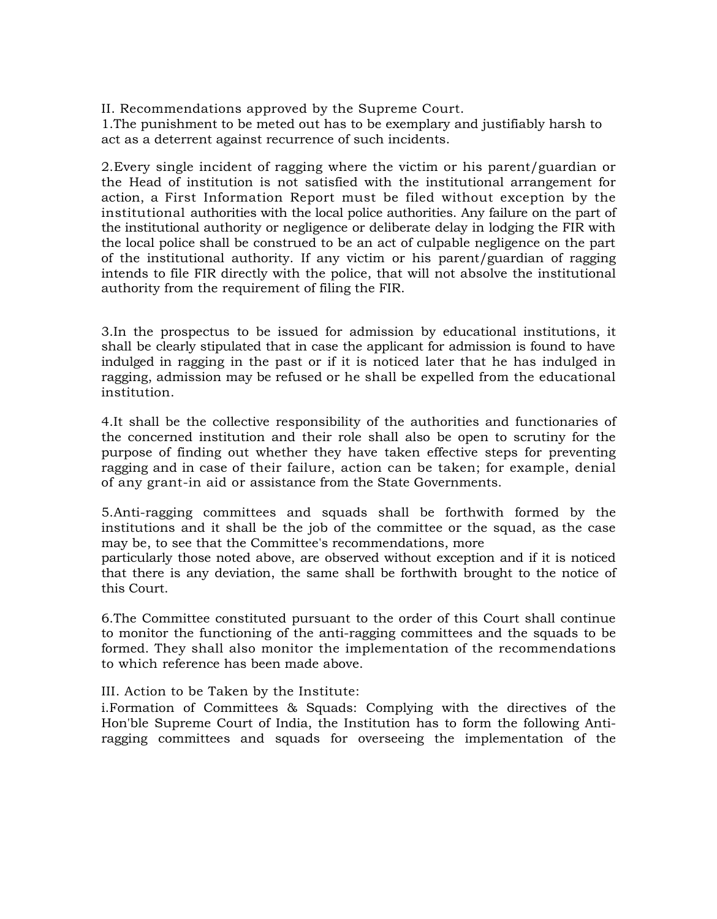II. Recommendations approved by the Supreme Court.

1.The punishment to be meted out has to be exemplary and justifiably harsh to act as a deterrent against recurrence of such incidents.

2.Every single incident of ragging where the victim or his parent/guardian or the Head of institution is not satisfied with the institutional arrangement for action, a First Information Report must be filed without exception by the institutional authorities with the local police authorities. Any failure on the part of the institutional authority or negligence or deliberate delay in lodging the FIR with the local police shall be construed to be an act of culpable negligence on the part of the institutional authority. If any victim or his parent/guardian of ragging intends to file FIR directly with the police, that will not absolve the institutional authority from the requirement of filing the FIR.

3.In the prospectus to be issued for admission by educational institutions, it shall be clearly stipulated that in case the applicant for admission is found to have indulged in ragging in the past or if it is noticed later that he has indulged in ragging, admission may be refused or he shall be expelled from the educational institution.

4.It shall be the collective responsibility of the authorities and functionaries of the concerned institution and their role shall also be open to scrutiny for the purpose of finding out whether they have taken effective steps for preventing ragging and in case of their failure, action can be taken; for example, denial of any grant-in aid or assistance from the State Governments.

5.Anti-ragging committees and squads shall be forthwith formed by the institutions and it shall be the job of the committee or the squad, as the case may be, to see that the Committee's recommendations, more

particularly those noted above, are observed without exception and if it is noticed that there is any deviation, the same shall be forthwith brought to the notice of this Court.

6.The Committee constituted pursuant to the order of this Court shall continue to monitor the functioning of the anti-ragging committees and the squads to be formed. They shall also monitor the implementation of the recommendations to which reference has been made above.

III. Action to be Taken by the Institute:

i.Formation of Committees & Squads: Complying with the directives of the Hon'ble Supreme Court of India, the Institution has to form the following Antiragging committees and squads for overseeing the implementation of the